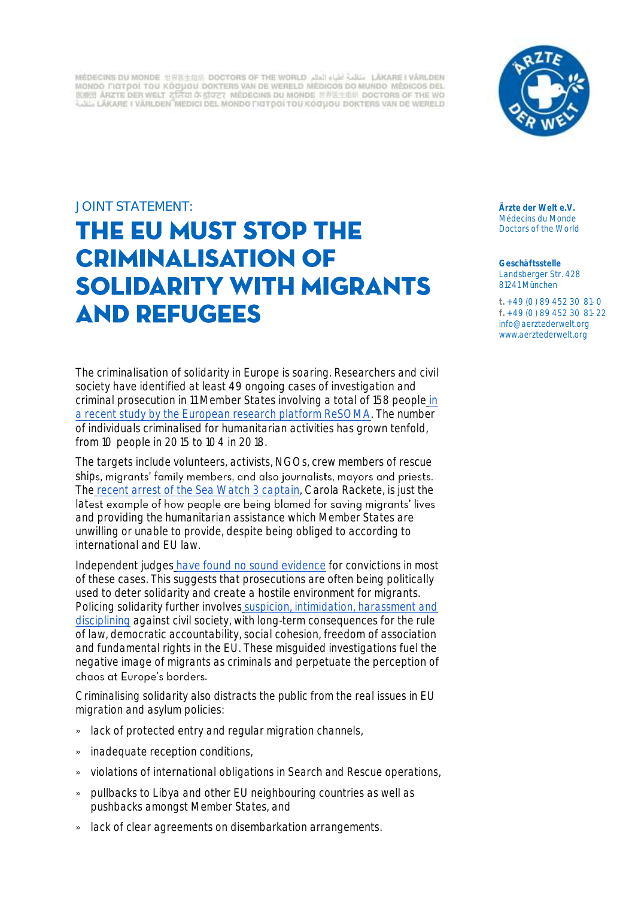MÉDECINS DU MONDE HREEHER DOCTORS OF THE WORLD التقلية العلم LÄKARE I VÅRLDEN MONDO FIGTPOI TOU KÓCIJOU DOKTERS VAN DE WERELD MÉDICOS DO MUNDO MÉDICOS DEL 医癫痫 ARZTE DER WELT ZRRII A STOCT MEDECINS DU MONDE 世界医生组织 DOCTORS OF THE WO LEL LAKARE I VARLDEN MEDICI DEL MONDO FIOTOOI TOU KÓOUOU DOKTERS VAN DE WERELD



## JOINT STATEMENT:

# THE EU MUST STOP THE **CRIMINALISATION OF SOLIDARITY WITH MIGRANTS AND REFUGEES**

The criminalisation of solidarity in Europe is soaring. Researchers and civil society have identified at least 49 ongoing cases of investigation and criminal prosecution in 11 Member States involving a total of 158 people [in](http://www.resoma.eu/sites/resoma/resoma/files/policy_brief/pdf/Final%20Synthetic%20Report%20-%20Crackdown%20on%20NGOs%20and%20volunteers%20helping%20refugees%20and%20other%20migrants_1.pdf)  [a recent study by the European research platform ReSOMA.](http://www.resoma.eu/sites/resoma/resoma/files/policy_brief/pdf/Final%20Synthetic%20Report%20-%20Crackdown%20on%20NGOs%20and%20volunteers%20helping%20refugees%20and%20other%20migrants_1.pdf) The number of individuals criminalised for humanitarian activities has grown tenfold, from 10 people in 2015 to 104 in 2018.

The targets include volunteers, activists, NGOs, crew members of rescue ships, migrants' family members, and also journalists, mayors and priests. The [recent arrest of the Sea Watch 3 captain,](https://www.politico.eu/article/carola-rakete-italian-authorities-arrest-sea-watch-captain/) Carola Rackete, is just the latest example of how people are being blamed for saving migrants' lives and providing the humanitarian assistance which Member States are unwilling or unable to provide, despite being obliged to according to international and EU law.

Independent judges [have found no sound evidence](http://www.resoma.eu/sites/resoma/resoma/files/policy_brief/pdf/Final%20Synthetic%20Report%20-%20Crackdown%20on%20NGOs%20and%20volunteers%20helping%20refugees%20and%20other%20migrants_1.pdf) for convictions in most of these cases. This suggests that prosecutions are often being politically used to deter solidarity and create a hostile environment for migrants. Policing solidarity further involves [suspicion, intimidation, harassment and](https://www.ceps.eu/wp-content/uploads/2019/04/Policing-Humanitarianism-for-CEPS-website.pdf)  [disciplining](https://www.ceps.eu/wp-content/uploads/2019/04/Policing-Humanitarianism-for-CEPS-website.pdf) against civil society, with long-term consequences for the rule of law, democratic accountability, social cohesion, freedom of association and fundamental rights in the EU. These misguided investigations fuel the negative image of migrants as criminals and perpetuate the perception of chaos at Europe's borders.

Criminalising solidarity also distracts the public from the real issues in EU migration and asylum policies:

- » lack of protected entry and regular migration channels,
- » inadequate reception conditions,
- » violations of international obligations in Search and Rescue operations,
- » pullbacks to Libya and other EU neighbouring countries as well as pushbacks amongst Member States, and
- » lack of clear agreements on disembarkation arrangements.

**Ärzte der Welt e.V.** Médecins du Monde Doctors of the World

**Geschäftsstelle** Landsberger Str. 428 81241 München

**t.** + 49 (0) 89 452 30 81- 0 **f.** + 49 (0) 89 452 30 81- 22 [info@aerztederwelt.org](mailto:info@aerztederwelt.org) [www.aerztederwelt.org](http://www.aerztederwelt.org/)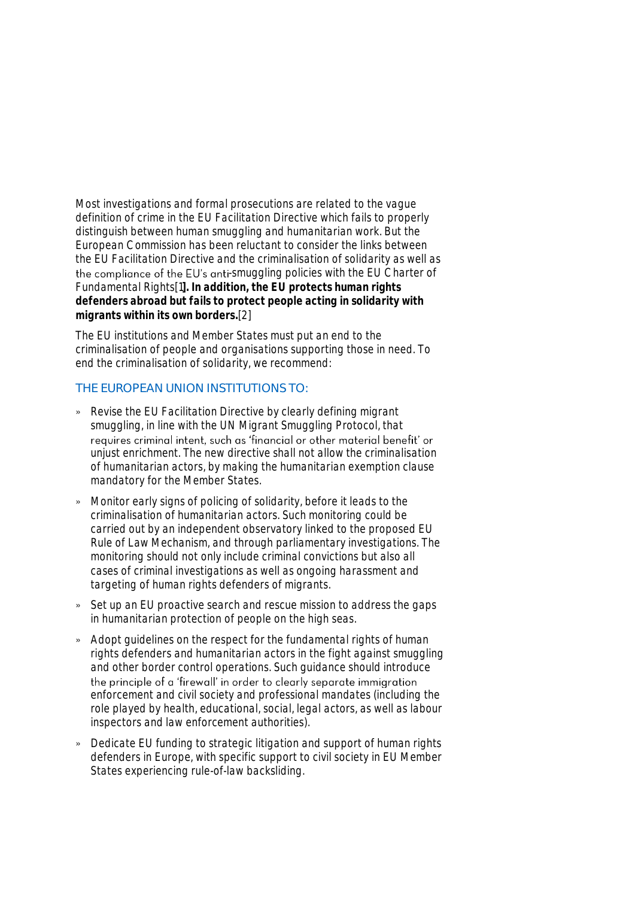Most investigations and formal prosecutions are related to the vague definition of crime in the EU Facilitation Directive which fails to properly distinguish between human smuggling and humanitarian work. But the European Commission has been reluctant to consider the links between the EU Facilitation Directive and the criminalisation of solidarity as well as the compliance of the EU's anti-smuggling policies with the EU Charter of Fundamental Rights[1**]. In addition, the EU protects human rights defenders abroad but fails to protect people acting in solidarity with migrants within its own borders.**[2]

The EU institutions and Member States must put an end to the criminalisation of people and organisations supporting those in need. To end the criminalisation of solidarity, we recommend:

## THE EUROPEAN UNION INSTITUTIONS TO:

- » Revise the EU Facilitation Directive by clearly defining migrant smuggling, in line with the UN Migrant Smuggling Protocol, that requires criminal intent, such as 'financial or other material benefit' or unjust enrichment. The new directive shall not allow the criminalisation of humanitarian actors, by making the humanitarian exemption clause mandatory for the Member States.
- » Monitor early signs of policing of solidarity, before it leads to the criminalisation of humanitarian actors. Such monitoring could be carried out by an independent observatory linked to the proposed EU Rule of Law Mechanism, and through parliamentary investigations. The monitoring should not only include criminal convictions but also all cases of criminal investigations as well as ongoing harassment and targeting of human rights defenders of migrants.
- » Set up an EU proactive search and rescue mission to address the gaps in humanitarian protection of people on the high seas.
- » Adopt guidelines on the respect for the fundamental rights of human rights defenders and humanitarian actors in the fight against smuggling and other border control operations. Such guidance should introduce the principle of a 'firewall' in order to clearly separate immigration enforcement and civil society and professional mandates (including the role played by health, educational, social, legal actors, as well as labour inspectors and law enforcement authorities).
- » Dedicate EU funding to strategic litigation and support of human rights defenders in Europe, with specific support to civil society in EU Member States experiencing rule-of-law backsliding.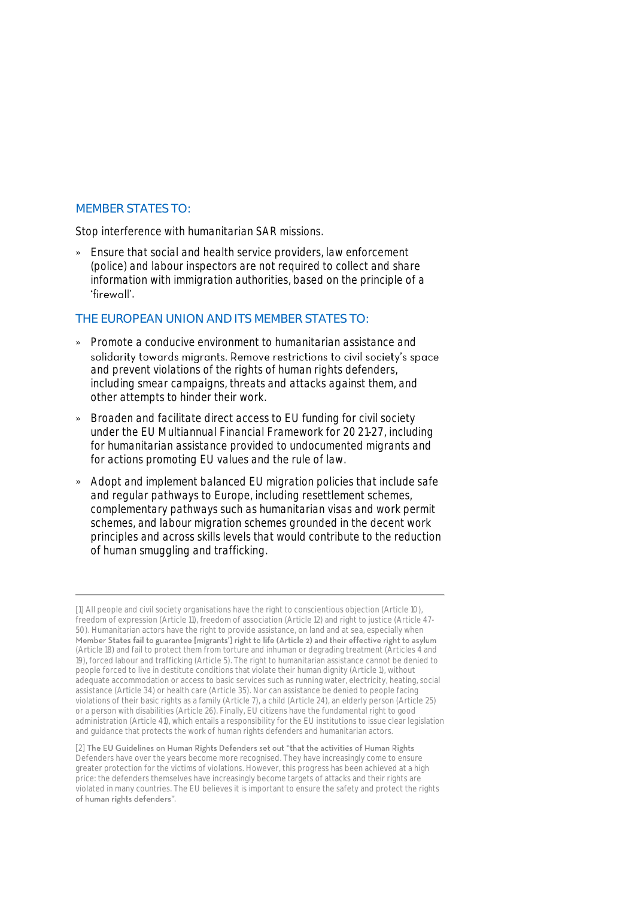#### MEMBER STATES TO:

Stop interference with humanitarian SAR missions.

» Ensure that social and health service providers, law enforcement (police) and labour inspectors are not required to collect and share information with immigration authorities, based on the principle of a 'firewall'.

#### THE EUROPEAN UNION AND ITS MEMBER STATES TO:

- » Promote a conducive environment to humanitarian assistance and solidarity towards migrants. Remove restrictions to civil society's space and prevent violations of the rights of human rights defenders, including smear campaigns, threats and attacks against them, and other attempts to hinder their work.
- » Broaden and facilitate direct access to EU funding for civil society under the EU Multiannual Financial Framework for 2021-27, including for humanitarian assistance provided to undocumented migrants and for actions promoting EU values and the rule of law.
- » Adopt and implement balanced EU migration policies that include safe and regular pathways to Europe, including resettlement schemes, complementary pathways such as humanitarian visas and work permit schemes, and labour migration schemes grounded in the decent work principles and across skills levels that would contribute to the reduction of human smuggling and trafficking.

<sup>[1]</sup> All people and civil society organisations have the right to conscientious objection (Article 10), freedom of expression (Article 11), freedom of association (Article 12) and right to justice (Article 47- 50). Humanitarian actors have the right to provide assistance, on land and at sea, especially when<br>Member States fail to guarantee [migrants'] right to life (Article 2) and their effective right to asylum (Article 18) and fail to protect them from torture and inhuman or degrading treatment (Articles 4 and 19), forced labour and trafficking (Article 5). The right to humanitarian assistance cannot be denied to people forced to live in destitute conditions that violate their human dignity (Article 1), without adequate accommodation or access to basic services such as running water, electricity, heating, social assistance (Article 34) or health care (Article 35). Nor can assistance be denied to people facing violations of their basic rights as a family (Article 7), a child (Article 24), an elderly person (Article 25) or a person with disabilities (Article 26). Finally, EU citizens have the fundamental right to good administration (Article 41), which entails a responsibility for the EU institutions to issue clear legislation and guidance that protects the work of human rights defenders and humanitarian actors.

<sup>[2]</sup> The EU Guidelines on Human Rights Defenders set out "that the activities of Human Rights Defenders have over the years become more recognised. They have increasingly come to ensure greater protection for the victims of violations. However, this progress has been achieved at a high price: the defenders themselves have increasingly become targets of attacks and their rights are violated in many countries. The EU believes it is important to ensure the safety and protect the rights of human rights defenders".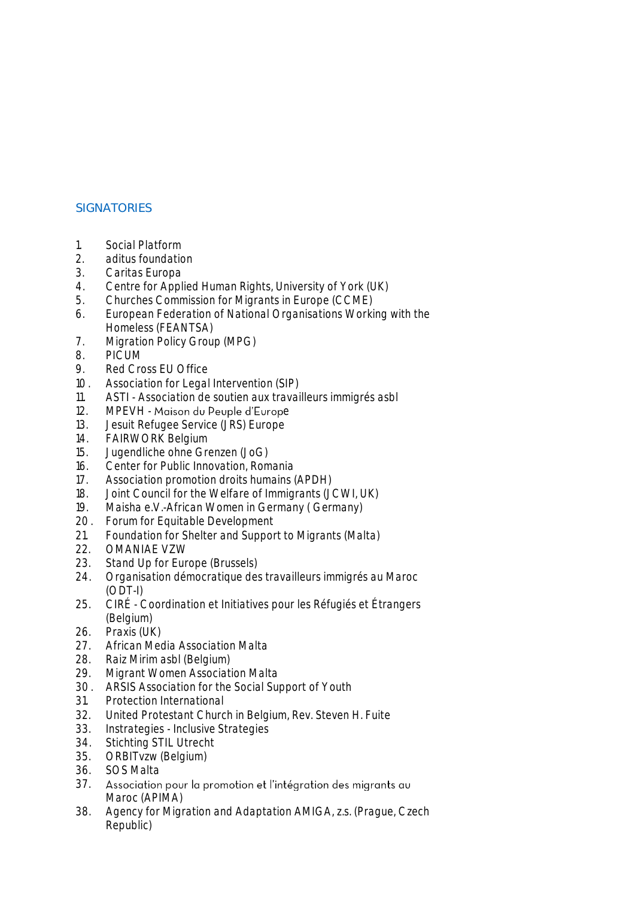# **SIGNATORIES**

- 1. Social Platform
- 2. aditus foundation
- 3. Caritas Europa
- 4. Centre for Applied Human Rights, University of York (UK)
- 5. Churches Commission for Migrants in Europe (CCME)
- 6. European Federation of National Organisations Working with the Homeless (FEANTSA)
- 7. Migration Policy Group (MPG)
- 8. PICUM
- 9. Red Cross EU Office
- 10. Association for Legal Intervention (SIP)
- 11. ASTI Association de soutien aux travailleurs immigrés asbl
- 12. MPEVH Maison du Peuple d'Europe
- 13. Jesuit Refugee Service (JRS) Europe
- 14. FAIRWORK Belgium
- 15. Jugendliche ohne Grenzen (JoG)
- 16. Center for Public Innovation, Romania
- 17. Association promotion droits humains (APDH)
- 18. Joint Council for the Welfare of Immigrants (JCWI, UK)<br>19. Maisha e.V.-African Women in Germany (Germany)
- Maisha e.V.-African Women in Germany ( Germany)
- 20. Forum for Equitable Development
- 21. Foundation for Shelter and Support to Migrants (Malta)
- 22. OMANIAE VZW
- 23. Stand Up for Europe (Brussels)
- 24. Organisation démocratique des travailleurs immigrés au Maroc (ODT-I)
- 25. CIRÉ Coordination et Initiatives pour les Réfugiés et Étrangers (Belgium)
- 26. Praxis (UK)
- 27. African Media Association Malta
- 28. Raiz Mirim asbl (Belgium)
- 29. Migrant Women Association Malta
- 30. ARSIS Association for the Social Support of Youth
- 31. Protection International
- 32. United Protestant Church in Belgium, Rev. Steven H. Fuite
- 33. Instrategies Inclusive Strategies
- 34. Stichting STIL Utrecht
- 35. ORBITvzw (Belgium)
- 36. SOS Malta
- 37. Association pour la promotion et l'intégration des migrants au Maroc (APIMA)
- 38. Agency for Migration and Adaptation AMIGA, z.s. (Prague, Czech Republic)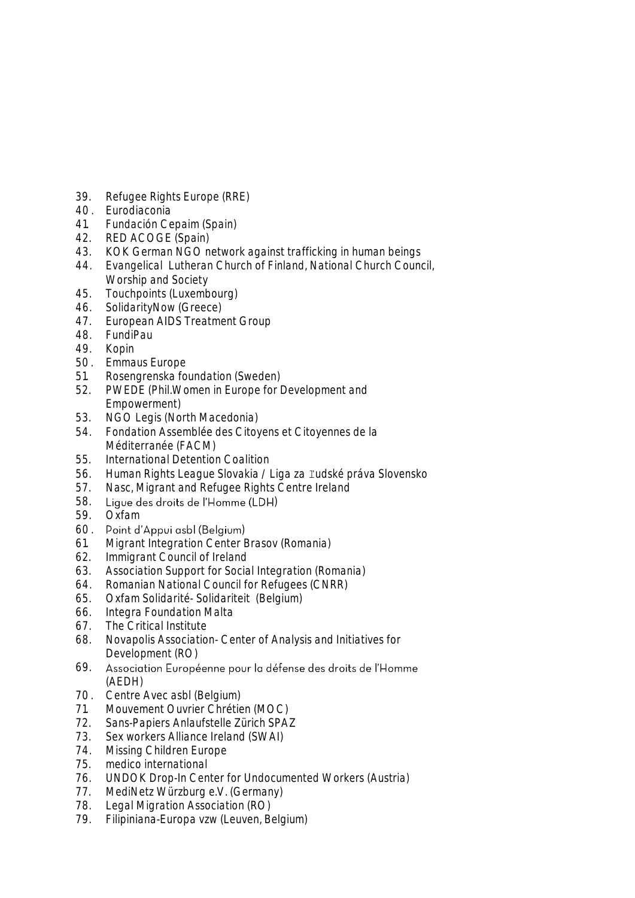- 39. Refugee Rights Europe (RRE)
- 40. Eurodiaconia
- 41. Fundación Cepaim (Spain)
- 42. RED ACOGE (Spain)<br>43 KOK German NGO n
- 43. KOK German NGO network against trafficking in human beings
- 44. Evangelical Lutheran Church of Finland, National Church Council, Worship and Society
- 45. Touchpoints (Luxembourg)
- 46. SolidarityNow (Greece)
- 47. European AIDS Treatment Group
- 48. FundiPau
- 49. Kopin
- 50. Emmaus Europe
- 51. Rosengrenska foundation (Sweden)
- 52. PWEDE (Phil.Women in Europe for Development and Empowerment)
- 53. NGO Legis (North Macedonia)
- 54. Fondation Assemblée des Citoyens et Citoyennes de la Méditerranée (FACM)
- 55. International Detention Coalition
- 56. Human Rights League Slovakia / Liga za ľudské práva Slovensko
- 57. Nasc, Migrant and Refugee Rights Centre Ireland
- 58. Lique des droits de l'Homme (LDH)
- 59. Oxfam
- 60. Point d'Appui asbl (Belgium)
- 61. Migrant Integration Center Brasov (Romania)
- 62. Immigrant Council of Ireland
- 63. Association Support for Social Integration (Romania)
- 64. Romanian National Council for Refugees (CNRR)
- 65. Oxfam Solidarité- Solidariteit (Belgium)
- 66. Integra Foundation Malta
- 67. The Critical Institute
- 68. Novapolis Association- Center of Analysis and Initiatives for Development (RO)
- 69. Association Européenne pour la défense des droits de l'Homme (AEDH)
- 70. Centre Avec asbl (Belgium)
- 71. Mouvement Ouvrier Chrétien (MOC)
- 72. Sans-Papiers Anlaufstelle Zürich SPAZ<br>73. Sex workers Alliance Ireland (SWAI)
- Sex workers Alliance Ireland (SWAI)
- 74. Missing Children Europe
- 75. medico international
- 76. UNDOK Drop-In Center for Undocumented Workers (Austria)
- 77. MediNetz Würzburg e.V. (Germany)
- 78. Legal Migration Association (RO)
- 79. Filipiniana-Europa vzw (Leuven, Belgium)